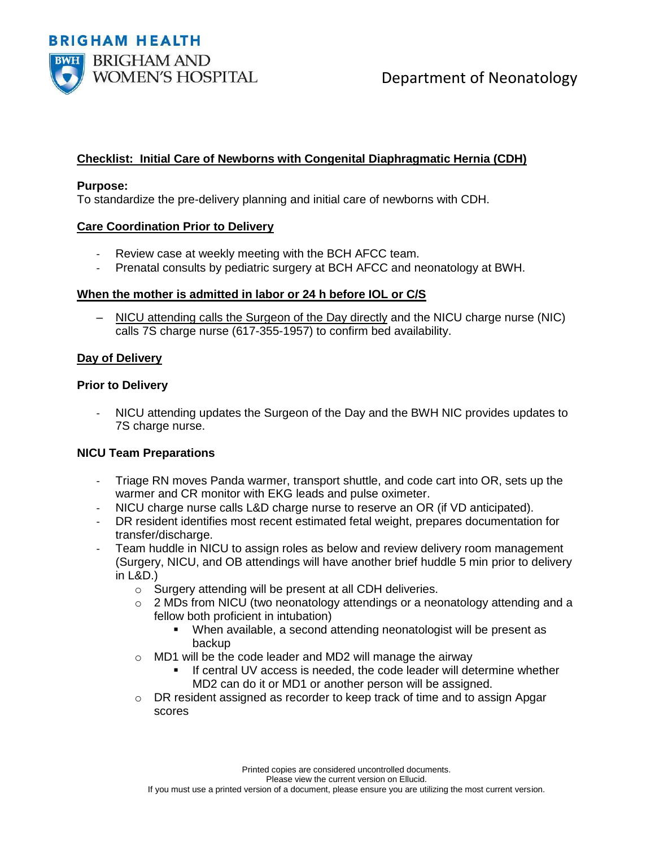

# **Checklist: Initial Care of Newborns with Congenital Diaphragmatic Hernia (CDH)**

#### **Purpose:**

To standardize the pre-delivery planning and initial care of newborns with CDH.

#### **Care Coordination Prior to Delivery**

- Review case at weekly meeting with the BCH AFCC team.
- Prenatal consults by pediatric surgery at BCH AFCC and neonatology at BWH.

## **When the mother is admitted in labor or 24 h before IOL or C/S**

– NICU attending calls the Surgeon of the Day directly and the NICU charge nurse (NIC) calls 7S charge nurse (617-355-1957) to confirm bed availability.

## **Day of Delivery**

#### **Prior to Delivery**

NICU attending updates the Surgeon of the Day and the BWH NIC provides updates to 7S charge nurse.

## **NICU Team Preparations**

- Triage RN moves Panda warmer, transport shuttle, and code cart into OR, sets up the warmer and CR monitor with EKG leads and pulse oximeter.
- NICU charge nurse calls L&D charge nurse to reserve an OR (if VD anticipated).
- DR resident identifies most recent estimated fetal weight, prepares documentation for transfer/discharge.
- Team huddle in NICU to assign roles as below and review delivery room management (Surgery, NICU, and OB attendings will have another brief huddle 5 min prior to delivery in L&D.)
	- o Surgery attending will be present at all CDH deliveries.
	- $\circ$  2 MDs from NICU (two neonatology attendings or a neonatology attending and a fellow both proficient in intubation)
		- When available, a second attending neonatologist will be present as backup
	- o MD1 will be the code leader and MD2 will manage the airway
		- If central UV access is needed, the code leader will determine whether MD2 can do it or MD1 or another person will be assigned.
	- $\circ$  DR resident assigned as recorder to keep track of time and to assign Apgar scores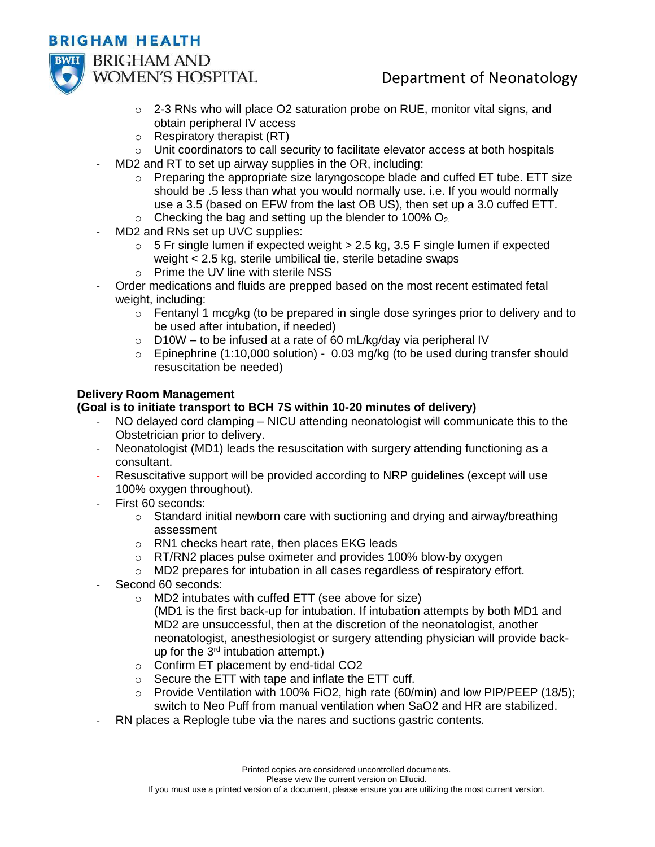# **BRIGHAM HEALTH**



**BRIGHAM AND WOMEN'S HOSPITAL** 

# Department of Neonatology

- $\circ$  2-3 RNs who will place O2 saturation probe on RUE, monitor vital signs, and obtain peripheral IV access
- $\circ$  Respiratory therapist (RT)
- o Unit coordinators to call security to facilitate elevator access at both hospitals
- MD2 and RT to set up airway supplies in the OR, including:
	- $\circ$  Preparing the appropriate size laryngoscope blade and cuffed ET tube. ETT size should be .5 less than what you would normally use. i.e. If you would normally use a 3.5 (based on EFW from the last OB US), then set up a 3.0 cuffed ETT.
	- $\circ$  Checking the bag and setting up the blender to 100% O<sub>2.</sub>
- MD2 and RNs set up UVC supplies:
	- $\circ$  5 Fr single lumen if expected weight  $>$  2.5 kg, 3.5 F single lumen if expected weight < 2.5 kg, sterile umbilical tie, sterile betadine swaps
	- o Prime the UV line with sterile NSS
- Order medications and fluids are prepped based on the most recent estimated fetal weight, including:
	- $\circ$  Fentanyl 1 mcg/kg (to be prepared in single dose syringes prior to delivery and to be used after intubation, if needed)
	- $\circ$  D10W to be infused at a rate of 60 mL/kg/day via peripheral IV
	- $\circ$  Epinephrine (1:10,000 solution) 0.03 mg/kg (to be used during transfer should resuscitation be needed)

## **Delivery Room Management**

## **(Goal is to initiate transport to BCH 7S within 10-20 minutes of delivery)**

- NO delayed cord clamping NICU attending neonatologist will communicate this to the Obstetrician prior to delivery.
- Neonatologist (MD1) leads the resuscitation with surgery attending functioning as a consultant.
- Resuscitative support will be provided according to NRP guidelines (except will use 100% oxygen throughout).
- First 60 seconds:
	- $\circ$  Standard initial newborn care with suctioning and drying and airway/breathing assessment
	- o RN1 checks heart rate, then places EKG leads
	- o RT/RN2 places pulse oximeter and provides 100% blow-by oxygen
	- o MD2 prepares for intubation in all cases regardless of respiratory effort.
- Second 60 seconds:
	- o MD2 intubates with cuffed ETT (see above for size)
		- (MD1 is the first back-up for intubation. If intubation attempts by both MD1 and MD2 are unsuccessful, then at the discretion of the neonatologist, another neonatologist, anesthesiologist or surgery attending physician will provide backup for the 3<sup>rd</sup> intubation attempt.)
	- o Confirm ET placement by end-tidal CO2
	- o Secure the ETT with tape and inflate the ETT cuff.
	- $\circ$  Provide Ventilation with 100% FiO2, high rate (60/min) and low PIP/PEEP (18/5); switch to Neo Puff from manual ventilation when SaO2 and HR are stabilized.
- RN places a Replogle tube via the nares and suctions gastric contents.